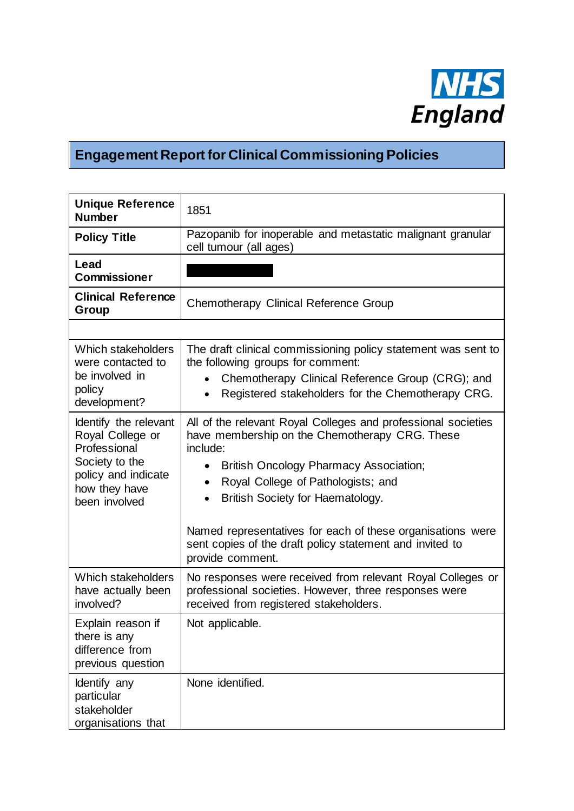

## **Engagement Report for Clinical Commissioning Policies**

| <b>Unique Reference</b><br><b>Number</b>                                                                                             | 1851                                                                                                                                                                                                                                                                                                                                                                                                 |
|--------------------------------------------------------------------------------------------------------------------------------------|------------------------------------------------------------------------------------------------------------------------------------------------------------------------------------------------------------------------------------------------------------------------------------------------------------------------------------------------------------------------------------------------------|
| <b>Policy Title</b>                                                                                                                  | Pazopanib for inoperable and metastatic malignant granular<br>cell tumour (all ages)                                                                                                                                                                                                                                                                                                                 |
| Lead<br><b>Commissioner</b>                                                                                                          |                                                                                                                                                                                                                                                                                                                                                                                                      |
| <b>Clinical Reference</b><br>Group                                                                                                   | <b>Chemotherapy Clinical Reference Group</b>                                                                                                                                                                                                                                                                                                                                                         |
|                                                                                                                                      |                                                                                                                                                                                                                                                                                                                                                                                                      |
| Which stakeholders<br>were contacted to<br>be involved in<br>policy<br>development?                                                  | The draft clinical commissioning policy statement was sent to<br>the following groups for comment:<br>Chemotherapy Clinical Reference Group (CRG); and<br>Registered stakeholders for the Chemotherapy CRG.                                                                                                                                                                                          |
| Identify the relevant<br>Royal College or<br>Professional<br>Society to the<br>policy and indicate<br>how they have<br>been involved | All of the relevant Royal Colleges and professional societies<br>have membership on the Chemotherapy CRG. These<br>include:<br><b>British Oncology Pharmacy Association;</b><br>Royal College of Pathologists; and<br>British Society for Haematology.<br>Named representatives for each of these organisations were<br>sent copies of the draft policy statement and invited to<br>provide comment. |
| Which stakeholders<br>have actually been<br>involved?                                                                                | No responses were received from relevant Royal Colleges or<br>professional societies. However, three responses were<br>received from registered stakeholders.                                                                                                                                                                                                                                        |
| Explain reason if<br>there is any<br>difference from<br>previous question                                                            | Not applicable.                                                                                                                                                                                                                                                                                                                                                                                      |
| Identify any<br>particular<br>stakeholder<br>organisations that                                                                      | None identified.                                                                                                                                                                                                                                                                                                                                                                                     |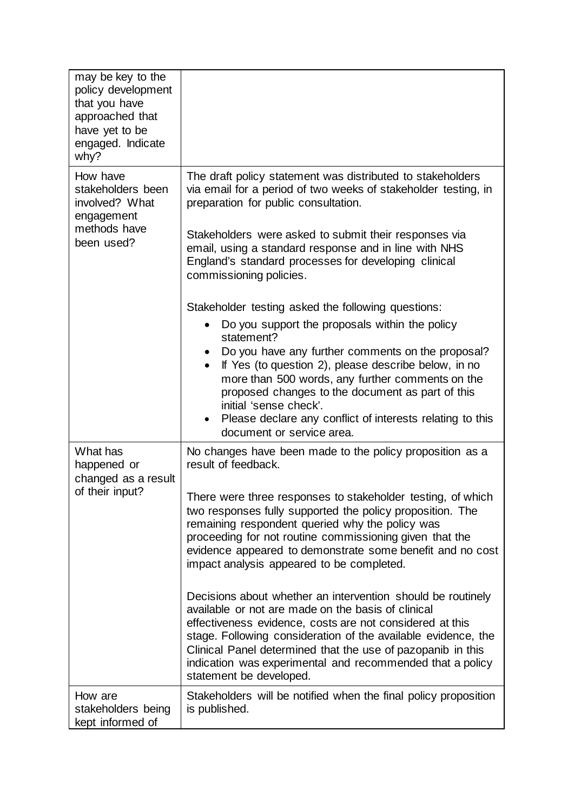| may be key to the<br>policy development<br>that you have<br>approached that<br>have yet to be<br>engaged. Indicate<br>why? |                                                                                                                                                                                                                                                                                                                                                                                                                                                                                                                                                                                                                                                                                                                                                                                                                                                                    |
|----------------------------------------------------------------------------------------------------------------------------|--------------------------------------------------------------------------------------------------------------------------------------------------------------------------------------------------------------------------------------------------------------------------------------------------------------------------------------------------------------------------------------------------------------------------------------------------------------------------------------------------------------------------------------------------------------------------------------------------------------------------------------------------------------------------------------------------------------------------------------------------------------------------------------------------------------------------------------------------------------------|
| How have<br>stakeholders been<br>involved? What<br>engagement<br>methods have<br>been used?                                | The draft policy statement was distributed to stakeholders<br>via email for a period of two weeks of stakeholder testing, in<br>preparation for public consultation.<br>Stakeholders were asked to submit their responses via<br>email, using a standard response and in line with NHS<br>England's standard processes for developing clinical<br>commissioning policies.<br>Stakeholder testing asked the following questions:<br>Do you support the proposals within the policy<br>statement?<br>Do you have any further comments on the proposal?<br>If Yes (to question 2), please describe below, in no<br>$\bullet$<br>more than 500 words, any further comments on the<br>proposed changes to the document as part of this<br>initial 'sense check'.<br>Please declare any conflict of interests relating to this<br>$\bullet$<br>document or service area. |
| What has<br>happened or<br>changed as a result<br>of their input?                                                          | No changes have been made to the policy proposition as a<br>result of feedback.<br>There were three responses to stakeholder testing, of which<br>two responses fully supported the policy proposition. The<br>remaining respondent queried why the policy was<br>proceeding for not routine commissioning given that the<br>evidence appeared to demonstrate some benefit and no cost<br>impact analysis appeared to be completed.<br>Decisions about whether an intervention should be routinely<br>available or not are made on the basis of clinical<br>effectiveness evidence, costs are not considered at this<br>stage. Following consideration of the available evidence, the<br>Clinical Panel determined that the use of pazopanib in this<br>indication was experimental and recommended that a policy<br>statement be developed.                       |
| How are<br>stakeholders being<br>kept informed of                                                                          | Stakeholders will be notified when the final policy proposition<br>is published.                                                                                                                                                                                                                                                                                                                                                                                                                                                                                                                                                                                                                                                                                                                                                                                   |